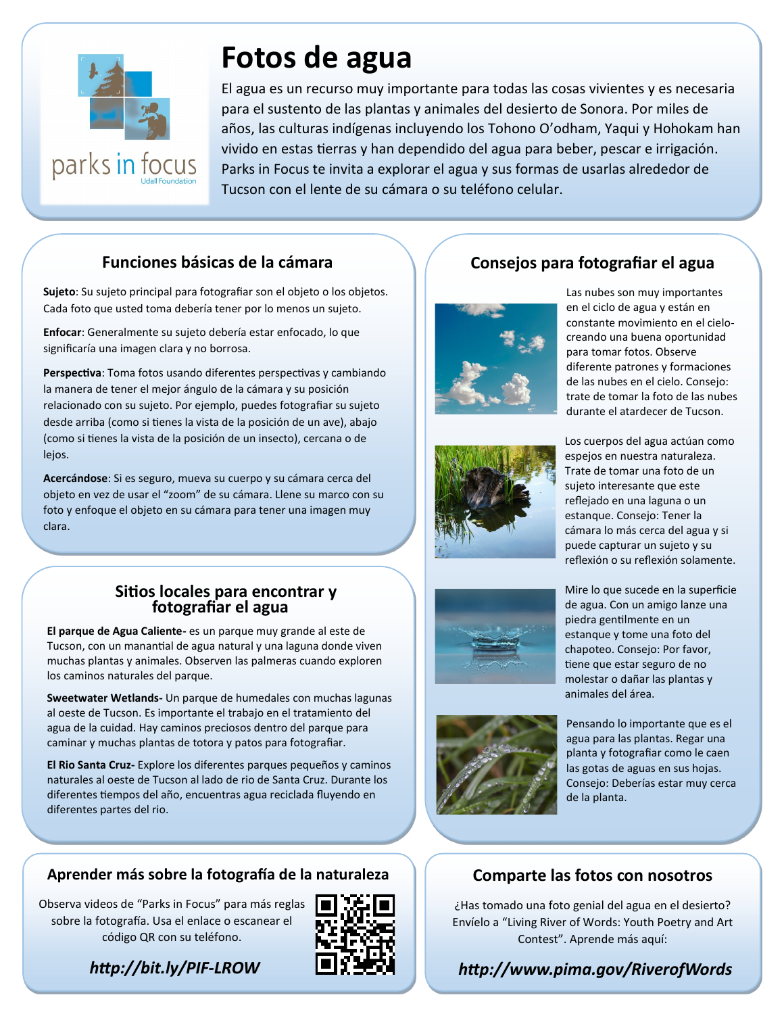

# **Fotos de agua**

El agua es un recurso muy importante para todas las cosas vivientes y es necesaria para el sustento de las plantas y animales del desierto de Sonora. Por miles de años, las culturas indígenas incluyendo los Tohono O'odham, Yaqui y Hohokam han vivido en estas tierras y han dependido del agua para beber, pescar e irrigación. Parks in Focus te invita a explorar el agua y sus formas de usarlas alrededor de Tucson con el lente de su cámara o su teléfono celular.

#### **Funciones básicas de la cámara**

Sujeto: Su sujeto principal para fotografiar son el objeto o los objetos. Cada foto que usted toma debería tener por lo menos un sujeto.

**Enfocar**: Generalmente su sujeto debería estar enfocado, lo que significaría una imagen clara y no borrosa.

**Perspectiva**: Toma fotos usando diferentes perspectivas y cambiando la manera de tener el mejor ángulo de la cámara y su posición relacionado con su sujeto. Por ejemplo, puedes fotografiar su sujeto desde arriba (como si tienes la vista de la posición de un ave), abajo (como si tienes la vista de la posición de un insecto), cercana o de lejos.

**Acercándose**: Si es seguro, mueva su cuerpo y su cámara cerca del objeto en vez de usar el "zoom" de su cámara. Llene su marco con su foto y enfoque el objeto en su cámara para tener una imagen muy clara.

#### **Sitios locales para encontrar y fotografiar el agua**

**El parque de Agua Caliente-** es un parque muy grande al este de Tucson, con un manantial de agua natural y una laguna donde viven muchas plantas y animales. Observen las palmeras cuando exploren los caminos naturales del parque.

**Sweetwater Wetlands-** Un parque de humedales con muchas lagunas al oeste de Tucson. Es importante el trabajo en el tratamiento del agua de la cuidad. Hay caminos preciosos dentro del parque para caminar y muchas plantas de totora y patos para fotografiar.

**El Rio Santa Cruz-** Explore los diferentes parques pequeños y caminos naturales al oeste de Tucson al lado de rio de Santa Cruz. Durante los diferentes tiempos del año, encuentras agua reciclada fluyendo en diferentes partes del rio.

#### **Aprender más sobre la fotografía de la naturaleza**

Observa videos de "Parks in Focus" para más reglas sobre la fotografía. Usa el enlace o escanear el código QR con su teléfono.



*http://bit.ly/PIF-LROW*

### **Consejos para fotografiar el agua**



Las nubes son muy importantes en el ciclo de agua y están en constante movimiento en el cielocreando una buena oportunidad para tomar fotos. Observe diferente patrones y formaciones de las nubes en el cielo. Consejo: trate de tomar la foto de las nubes durante el atardecer de Tucson.



Los cuerpos del agua actúan como espejos en nuestra naturaleza. Trate de tomar una foto de un sujeto interesante que este reflejado en una laguna o un estanque. Consejo: Tener la cámara lo más cerca del agua y si puede capturar un sujeto y su reflexión o su reflexión solamente.





Mire lo que sucede en la superficie de agua. Con un amigo lanze una piedra gentilmente en un estanque y tome una foto del chapoteo. Consejo: Por favor, tiene que estar seguro de no molestar o dañar las plantas y animales del área.

Pensando lo importante que es el agua para las plantas. Regar una planta y fotografiar como le caen las gotas de aguas en sus hojas. Consejo: Deberías estar muy cerca de la planta.

#### **Comparte las fotos con nosotros**

¿Has tomado una foto genial del agua en el desierto? Envíelo a "Living River of Words: Youth Poetry and Art Contest". Aprende más aquí:

#### *http://www.pima.gov/RiverofWords*